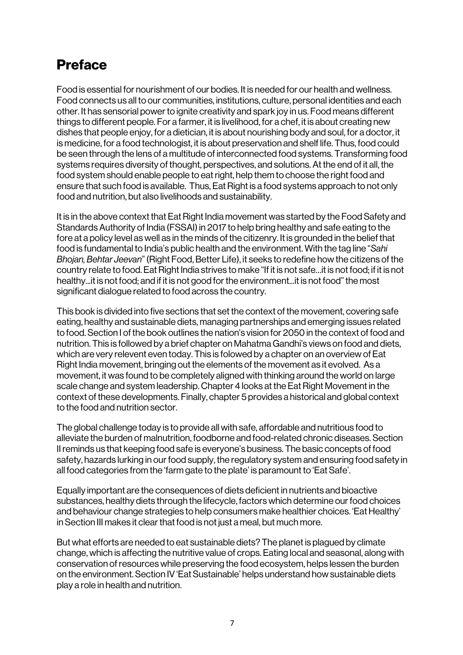## Preface

Food is essential for nourishment of our bodies. It is needed for our health and wellness. Food connects us all to our communities, institutions, culture, personal identities and each other. It has sensorial power to ignite creativity and spark joy in us. Food means different things to different people. For a farmer, it is livelihood, for a chef, it is about creating new dishes that people enjoy, for a dietician, it is about nourishing body and soul, for a doctor, it is medicine, for a food technologist, it is about preservation and shelf life. Thus, food could be seen through the lens of a multitude of interconnected food systems. Transforming food systems requires diversity of thought, perspectives, and solutions. At the end of it all, the food system should enable people to eat right, help them to choose the right food and ensure that such food is available. Thus, Eat Right is a food systems approach to not only food and nutrition, but also livelihoods and sustainability.

It is in the above context that Eat Right India movement was started by the Food Safety and Standards Authority of India (FSSAI) in 2017 to help bring healthy and safe eating to the fore at a policy level as well as in the minds of the citizenry. It is grounded in the belief that food is fundamental to India's public health and the environment. With the tag line "*Sahi Bhojan, Behtar Jeevan*" (Right Food, Better Life), it seeks to redefine how the citizens of the country relate to food. Eat Right India strives to make "If it is not safe…it is not food; if it is not healthy...it is not food; and if it is not good for the environment...it is not food" the most significant dialogue related to food across the country.

This book is divided into five sections that set the context of the movement, covering safe eating, healthy and sustainable diets, managing partnerships and emerging issues related to food. Section I of the book outlines the nation's vision for 2050 in the context of food and nutrition. This is followed by a brief chapter on Mahatma Gandhi's views on food and diets, which are very relevent even today. This is folowed by a chapter on an overview of Eat Right India movement, bringing out the elements of the movement as it evolved. As a movement, it was found to be completely aligned with thinking around the world on large scale change and system leadership. Chapter 4 looks at the Eat Right Movement in the context of these developments. Finally, chapter 5 provides a historical and global context to the food and nutrition sector.

The global challenge today is to provide all with safe, affordable and nutritious food to alleviate the burden of malnutrition, foodborne and food-related chronic diseases. Section II reminds us that keeping food safe is everyone's business. The basic concepts of food safety, hazards lurking in our food supply, the regulatory system and ensuring food safety in all food categories from the 'farm gate to the plate' is paramount to 'Eat Safe'.

Equally important are the consequences of diets deficient in nutrients and bioactive substances, healthy diets through the lifecycle, factors which determine our food choices and behaviour change strategies to help consumers make healthier choices. 'Eat Healthy' in Section III makes it clear that food is not just a meal, but much more.

But what efforts are needed to eat sustainable diets? The planet is plagued by climate change, which is affecting the nutritive value of crops. Eating local and seasonal, along with conservation of resources while preserving the food ecosystem, helps lessen the burden on the environment. Section IV 'Eat Sustainable' helps understand how sustainable diets play a role in health and nutrition.